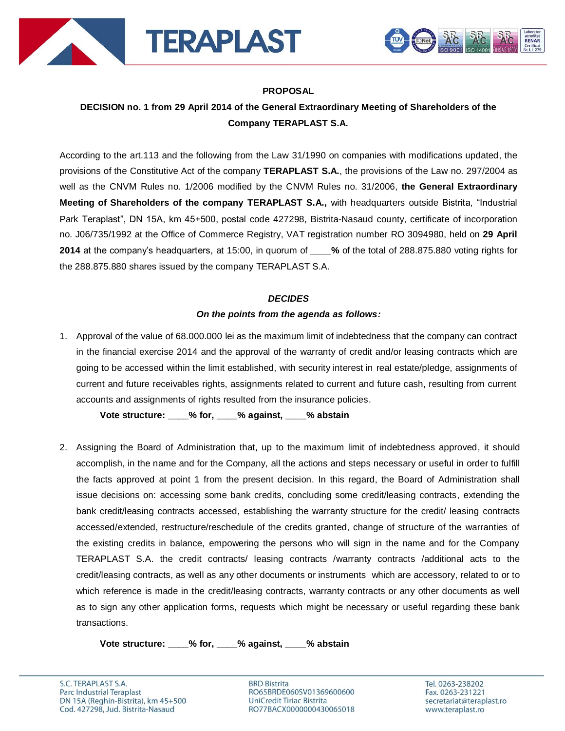



### **PROPOSAL**

# **DECISION no. 1 from 29 April 2014 of the General Extraordinary Meeting of Shareholders of the Company TERAPLAST S.A.**

According to the art.113 and the following from the Law 31/1990 on companies with modifications updated, the provisions of the Constitutive Act of the company **TERAPLAST S.A.**, the provisions of the Law no. 297/2004 as well as the CNVM Rules no. 1/2006 modified by the CNVM Rules no. 31/2006, **the General Extraordinary Meeting of Shareholders of the company TERAPLAST S.A.,** with headquarters outside Bistrita, "Industrial Park Teraplast", DN 15A, km 45+500, postal code 427298, Bistrita-Nasaud county, certificate of incorporation no. J06/735/1992 at the Office of Commerce Registry, VAT registration number RO 3094980, held on **29 April 2014** at the company's headquarters, at 15:00, in quorum of **\_\_\_\_%** of the total of 288.875.880 voting rights for the 288.875.880 shares issued by the company TERAPLAST S.A.

#### *DECIDES*

#### *On the points from the agenda as follows:*

1. Approval of the value of 68.000.000 lei as the maximum limit of indebtedness that the company can contract in the financial exercise 2014 and the approval of the warranty of credit and/or leasing contracts which are going to be accessed within the limit established, with security interest in real estate/pledge, assignments of current and future receivables rights, assignments related to current and future cash, resulting from current accounts and assignments of rights resulted from the insurance policies.

**Vote structure: \_\_\_\_% for, \_\_\_\_% against, \_\_\_\_% abstain**

2. Assigning the Board of Administration that, up to the maximum limit of indebtedness approved, it should accomplish, in the name and for the Company, all the actions and steps necessary or useful in order to fulfill the facts approved at point 1 from the present decision. In this regard, the Board of Administration shall issue decisions on: accessing some bank credits, concluding some credit/leasing contracts, extending the bank credit/leasing contracts accessed, establishing the warranty structure for the credit/ leasing contracts accessed/extended, restructure/reschedule of the credits granted, change of structure of the warranties of the existing credits in balance, empowering the persons who will sign in the name and for the Company TERAPLAST S.A. the credit contracts/ leasing contracts /warranty contracts /additional acts to the credit/leasing contracts, as well as any other documents or instruments which are accessory, related to or to which reference is made in the credit/leasing contracts, warranty contracts or any other documents as well as to sign any other application forms, requests which might be necessary or useful regarding these bank transactions.

**Vote structure: \_\_\_\_% for, \_\_\_\_% against, \_\_\_\_% abstain**

**BRD Bistrita** RO65BRDE060SV01369600600 UniCredit Tiriac Bistrita RO77BACX0000000430065018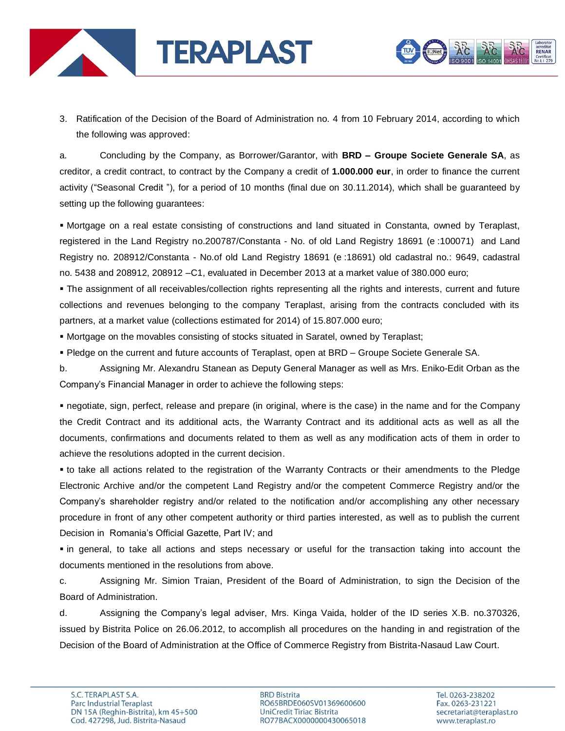



3. Ratification of the Decision of the Board of Administration no. 4 from 10 February 2014, according to which the following was approved:

a. Concluding by the Company, as Borrower/Garantor, with **BRD – Groupe Societe Generale SA**, as creditor, a credit contract, to contract by the Company a credit of **1.000.000 eur**, in order to finance the current activity ("Seasonal Credit "), for a period of 10 months (final due on 30.11.2014), which shall be guaranteed by setting up the following guarantees:

 Mortgage on a real estate consisting of constructions and land situated in Constanta, owned by Teraplast, registered in the Land Registry no.200787/Constanta - No. of old Land Registry 18691 (e :100071) and Land Registry no. 208912/Constanta - No.of old Land Registry 18691 (e :18691) old cadastral no.: 9649, cadastral no. 5438 and 208912, 208912 –C1, evaluated in December 2013 at a market value of 380.000 euro;

 The assignment of all receivables/collection rights representing all the rights and interests, current and future collections and revenues belonging to the company Teraplast, arising from the contracts concluded with its partners, at a market value (collections estimated for 2014) of 15.807.000 euro;

Mortgage on the movables consisting of stocks situated in Saratel, owned by Teraplast;

Pledge on the current and future accounts of Teraplast, open at BRD – Groupe Societe Generale SA.

b. Assigning Mr. Alexandru Stanean as Deputy General Manager as well as Mrs. Eniko-Edit Orban as the Company's Financial Manager in order to achieve the following steps:

 negotiate, sign, perfect, release and prepare (in original, where is the case) in the name and for the Company the Credit Contract and its additional acts, the Warranty Contract and its additional acts as well as all the documents, confirmations and documents related to them as well as any modification acts of them in order to achieve the resolutions adopted in the current decision.

 to take all actions related to the registration of the Warranty Contracts or their amendments to the Pledge Electronic Archive and/or the competent Land Registry and/or the competent Commerce Registry and/or the Company's shareholder registry and/or related to the notification and/or accomplishing any other necessary procedure in front of any other competent authority or third parties interested, as well as to publish the current Decision in Romania's Official Gazette, Part IV; and

 in general, to take all actions and steps necessary or useful for the transaction taking into account the documents mentioned in the resolutions from above.

c. Assigning Mr. Simion Traian, President of the Board of Administration, to sign the Decision of the Board of Administration.

d. Assigning the Company's legal adviser, Mrs. Kinga Vaida, holder of the ID series X.B. no.370326, issued by Bistrita Police on 26.06.2012, to accomplish all procedures on the handing in and registration of the Decision of the Board of Administration at the Office of Commerce Registry from Bistrita-Nasaud Law Court.